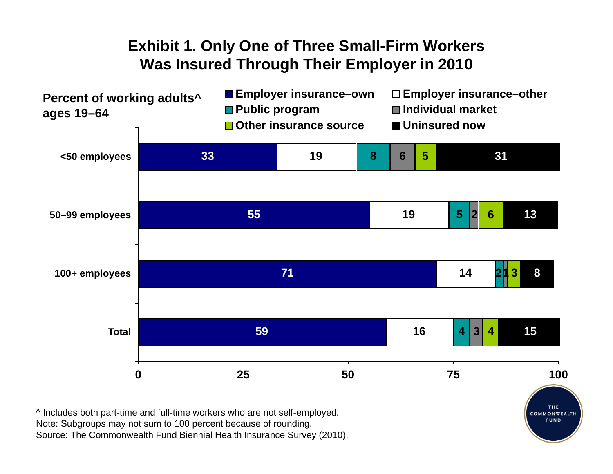## **Exhibit 1. Only One of Three Small-Firm Workers Was Insured Through Their Employer in 2010**



Note: Subgroups may not sum to 100 percent because of rounding. Source: The Commonwealth Fund Biennial Health Insurance Survey (2010).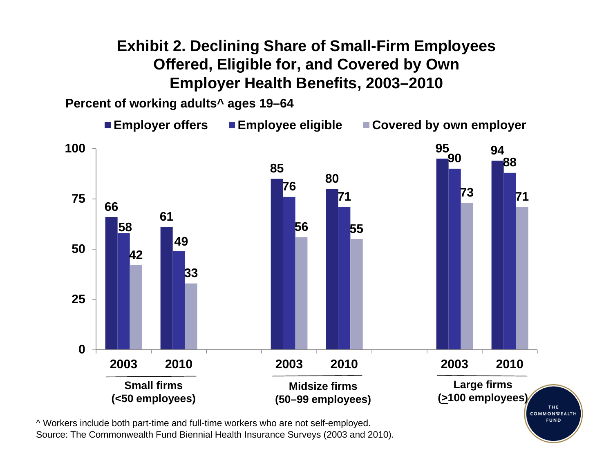## **Exhibit 2. Declining Share of Small-Firm Employees Offered, Eligible for, and Covered by Own Employer Health Benefits, 2003–2010**

**Percent of working adults^ ages 19–64**

**Employer offers Employee eligible Covered by own employer 10095 9490 888580767375 717166615856 55495042332502003 2010 2003 2010 2003 2010Large firms Small firmsMidsize firms(<50 employees) (>100 employees) (50–99 employees)**THE. COMMONWEALTH

**FUND** 

^ Workers include both part-time and full-time workers who are not self-employed. Source: The Commonwealth Fund Biennial Health Insurance Surveys (2003 and 2010).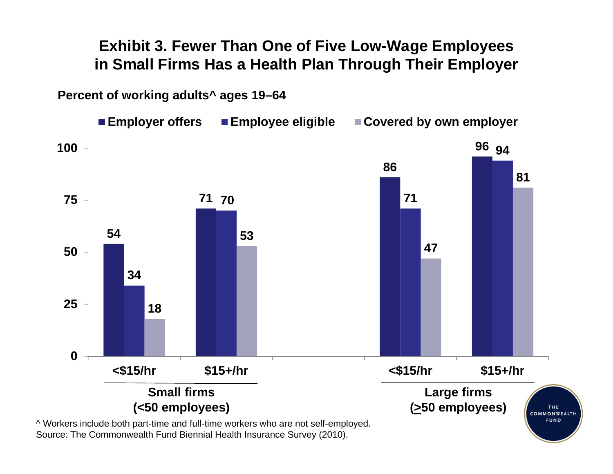#### **Exhibit 3. Fewer Than One of Five Low-Wage Employees in Small Firms Has a Health Plan Through Their Employer**

**Percent of working adults^ ages 19–64**



Source: The Commonwealth Fund Biennial Health Insurance Survey (2010).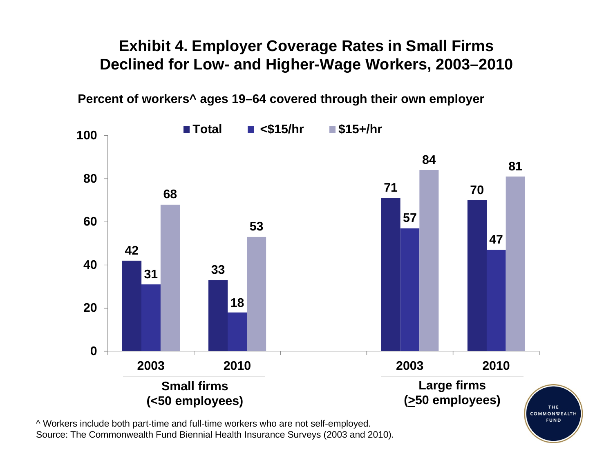#### **Exhibit 4. Employer Coverage Rates in Small Firms Declined for Low- and Higher-Wage Workers, 2003–2010**

**Percent of workers^ ages 19–64 covered through their own employer**



Source: The Commonwealth Fund Biennial Health Insurance Surveys (2003 and 2010).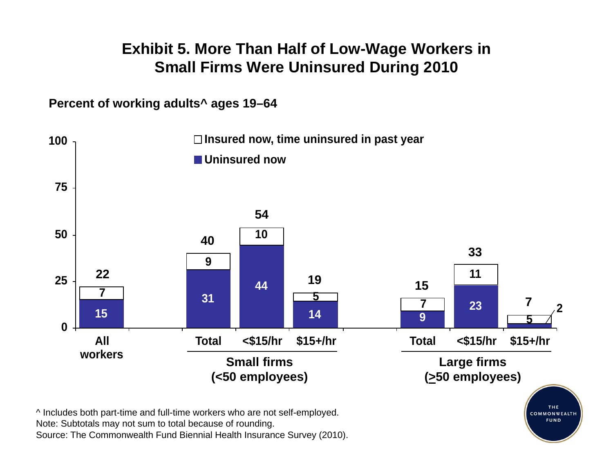## **Exhibit 5. More Than Half of Low-Wage Workers in Small Firms Were Uninsured During 2010**

**Percent of working adults^ ages 19–64**

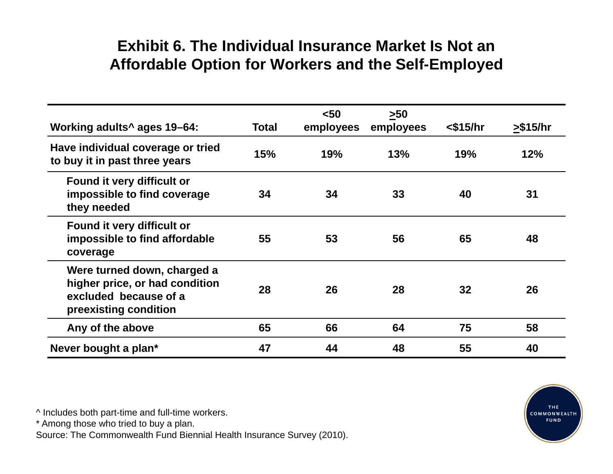## **Exhibit 6. The Individual Insurance Market Is Not anAffordable Option for Workers and the Self-Employed**

| Working adults <sup>^</sup> ages 19-64:                                                                         | <b>Total</b> | $50$<br>employees | $>50$<br>employees | $<$ \$15/hr | > \$15/hr |
|-----------------------------------------------------------------------------------------------------------------|--------------|-------------------|--------------------|-------------|-----------|
| Have individual coverage or tried<br>to buy it in past three years                                              | 15%          | 19%               | 13%                | 19%         | 12%       |
| Found it very difficult or<br>impossible to find coverage<br>they needed                                        | 34           | 34                | 33                 | 40          | 31        |
| Found it very difficult or<br>impossible to find affordable<br>coverage                                         | 55           | 53                | 56                 | 65          | 48        |
| Were turned down, charged a<br>higher price, or had condition<br>excluded because of a<br>preexisting condition | 28           | 26                | 28                 | 32          | 26        |
| Any of the above                                                                                                | 65           | 66                | 64                 | 75          | 58        |
| Never bought a plan*                                                                                            | 47           | 44                | 48                 | 55          | 40        |

^ Includes both part-time and full-time workers.

\* Among those who tried to buy a plan.

Source: The Commonwealth Fund Biennial Health Insurance Survey (2010).

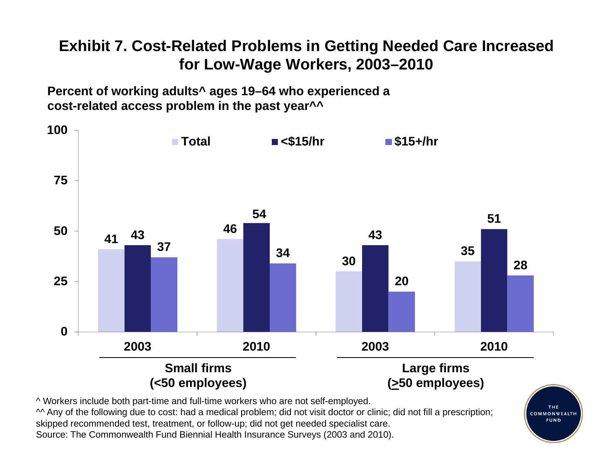# **Exhibit 7. Cost-Related Problems in Getting Needed Care Increased for Low-Wage Workers, 2003–2010**

**Percent of working adults^ ages 19–64 who experienced a cost-related access problem in the past year^^**



COMMONWEALTH **FUND** 

^^ Any of the following due to cost: had a medical problem; did not visit doctor or clinic; did not fill a prescription; skipped recommended test, treatment, or follow-up; did not get needed specialist care. Source: The Commonwealth Fund Biennial Health Insurance Surveys (2003 and 2010).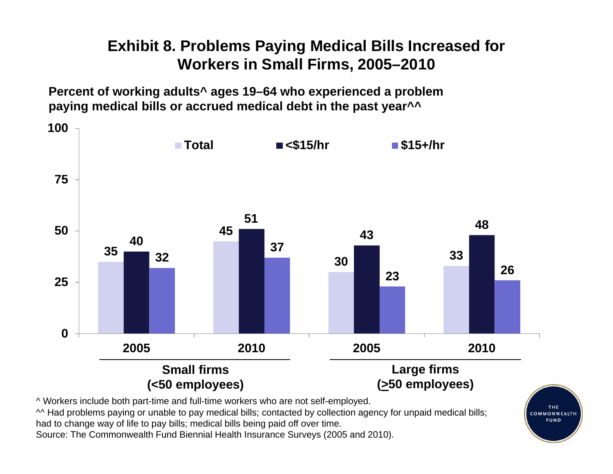# **Exhibit 8. Problems Paying Medical Bills Increased for Workers in Small Firms, 2005–2010**

**Percent of working adults^ ages 19–64 who experienced a problem paying medical bills or accrued medical debt in the past year^^**



^ Workers include both part-time and full-time workers who are not self-employed.

^^ Had problems paying or unable to pay medical bills; contacted by collection agency for unpaid medical bills; had to change way of life to pay bills; medical bills being paid off over time.

Source: The Commonwealth Fund Biennial Health Insurance Surveys (2005 and 2010).